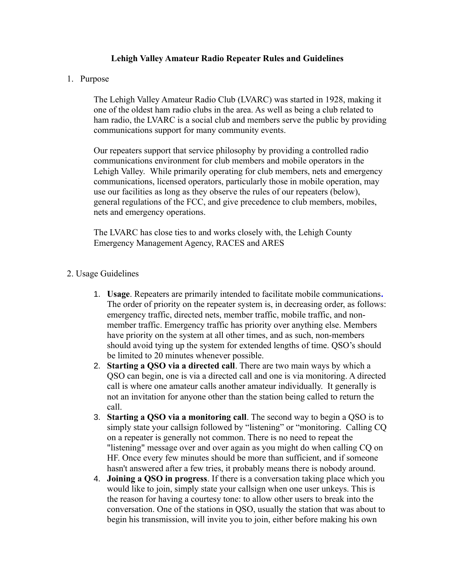## **Lehigh Valley Amateur Radio Repeater Rules and Guidelines**

## 1. Purpose

The Lehigh Valley Amateur Radio Club (LVARC) was started in 1928, making it one of the oldest ham radio clubs in the area. As well as being a club related to ham radio, the LVARC is a social club and members serve the public by providing communications support for many community events.

Our repeaters support that service philosophy by providing a controlled radio communications environment for club members and mobile operators in the Lehigh Valley. While primarily operating for club members, nets and emergency communications, licensed operators, particularly those in mobile operation, may use our facilities as long as they observe the rules of our repeaters (below), general regulations of the FCC, and give precedence to club members, mobiles, nets and emergency operations.

The LVARC has close ties to and works closely with, the Lehigh County Emergency Management Agency, RACES and ARES

## 2. Usage Guidelines

- 1. **Usage**. Repeaters are primarily intended to facilitate mobile communications*.*  The order of priority on the repeater system is, in decreasing order, as follows: emergency traffic, directed nets, member traffic, mobile traffic, and nonmember traffic. Emergency traffic has priority over anything else. Members have priority on the system at all other times, and as such, non-members should avoid tying up the system for extended lengths of time. QSO's should be limited to 20 minutes whenever possible.
- 2. **Starting a QSO via a directed call**. There are two main ways by which a QSO can begin, one is via a directed call and one is via monitoring. A directed call is where one amateur calls another amateur individually. It generally is not an invitation for anyone other than the station being called to return the call.
- 3. **Starting a QSO via a monitoring call**. The second way to begin a QSO is to simply state your callsign followed by "listening" or "monitoring. Calling CQ on a repeater is generally not common. There is no need to repeat the "listening" message over and over again as you might do when calling CQ on HF. Once every few minutes should be more than sufficient, and if someone hasn't answered after a few tries, it probably means there is nobody around.
- 4. **Joining a QSO in progress**. If there is a conversation taking place which you would like to join, simply state your callsign when one user unkeys. This is the reason for having a courtesy tone: to allow other users to break into the conversation. One of the stations in QSO, usually the station that was about to begin his transmission, will invite you to join, either before making his own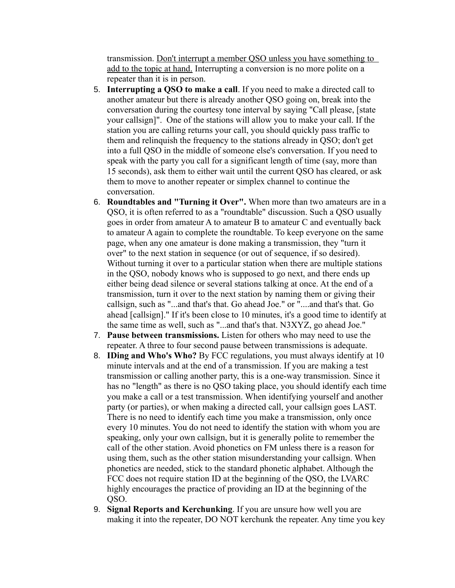transmission. Don't interrupt a member QSO unless you have something to add to the topic at hand. Interrupting a conversion is no more polite on a repeater than it is in person.

- 5. **Interrupting a QSO to make a call**. If you need to make a directed call to another amateur but there is already another QSO going on, break into the conversation during the courtesy tone interval by saying "Call please, [state your callsign]". One of the stations will allow you to make your call. If the station you are calling returns your call, you should quickly pass traffic to them and relinquish the frequency to the stations already in QSO; don't get into a full QSO in the middle of someone else's conversation. If you need to speak with the party you call for a significant length of time (say, more than 15 seconds), ask them to either wait until the current QSO has cleared, or ask them to move to another repeater or simplex channel to continue the conversation.
- 6. **Roundtables and "Turning it Over".** When more than two amateurs are in a QSO, it is often referred to as a "roundtable" discussion. Such a QSO usually goes in order from amateur A to amateur B to amateur C and eventually back to amateur A again to complete the roundtable. To keep everyone on the same page, when any one amateur is done making a transmission, they "turn it over" to the next station in sequence (or out of sequence, if so desired). Without turning it over to a particular station when there are multiple stations in the QSO, nobody knows who is supposed to go next, and there ends up either being dead silence or several stations talking at once. At the end of a transmission, turn it over to the next station by naming them or giving their callsign, such as "...and that's that. Go ahead Joe." or "....and that's that. Go ahead [callsign]." If it's been close to 10 minutes, it's a good time to identify at the same time as well, such as "...and that's that. N3XYZ, go ahead Joe."
- 7. **Pause between transmissions.** Listen for others who may need to use the repeater. A three to four second pause between transmissions is adequate.
- 8. **IDing and Who's Who?** By FCC regulations, you must always identify at 10 minute intervals and at the end of a transmission. If you are making a test transmission or calling another party, this is a one-way transmission. Since it has no "length" as there is no QSO taking place, you should identify each time you make a call or a test transmission. When identifying yourself and another party (or parties), or when making a directed call, your callsign goes LAST. There is no need to identify each time you make a transmission, only once every 10 minutes. You do not need to identify the station with whom you are speaking, only your own callsign, but it is generally polite to remember the call of the other station. Avoid phonetics on FM unless there is a reason for using them, such as the other station misunderstanding your callsign. When phonetics are needed, stick to the standard phonetic alphabet. Although the FCC does not require station ID at the beginning of the QSO, the LVARC highly encourages the practice of providing an ID at the beginning of the QSO.
- 9. **Signal Reports and Kerchunking**. If you are unsure how well you are making it into the repeater, DO NOT kerchunk the repeater. Any time you key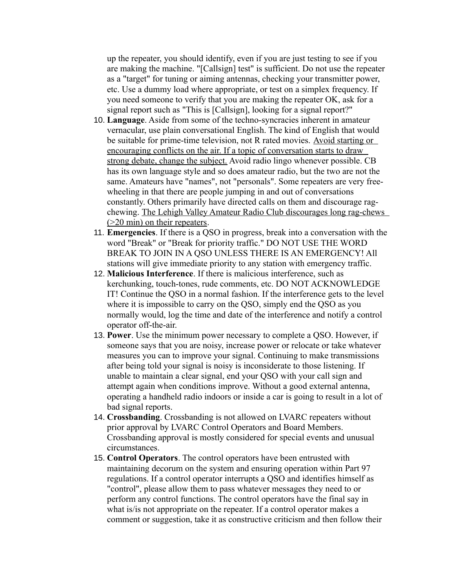up the repeater, you should identify, even if you are just testing to see if you are making the machine. "[Callsign] test" is sufficient. Do not use the repeater as a "target" for tuning or aiming antennas, checking your transmitter power, etc. Use a dummy load where appropriate, or test on a simplex frequency. If you need someone to verify that you are making the repeater OK, ask for a signal report such as "This is [Callsign], looking for a signal report?"

- 10. **Language**. Aside from some of the techno-syncracies inherent in amateur vernacular, use plain conversational English. The kind of English that would be suitable for prime-time television, not R rated movies. Avoid starting or encouraging conflicts on the air. If a topic of conversation starts to draw strong debate, change the subject. Avoid radio lingo whenever possible. CB has its own language style and so does amateur radio, but the two are not the same. Amateurs have "names", not "personals". Some repeaters are very freewheeling in that there are people jumping in and out of conversations constantly. Others primarily have directed calls on them and discourage ragchewing. The Lehigh Valley Amateur Radio Club discourages long rag-chews (>20 min) on their repeaters.
- 11. **Emergencies**. If there is a QSO in progress, break into a conversation with the word "Break" or "Break for priority traffic." DO NOT USE THE WORD BREAK TO JOIN IN A QSO UNLESS THERE IS AN EMERGENCY! All stations will give immediate priority to any station with emergency traffic.
- 12. **Malicious Interference**. If there is malicious interference, such as kerchunking, touch-tones, rude comments, etc. DO NOT ACKNOWLEDGE IT! Continue the QSO in a normal fashion. If the interference gets to the level where it is impossible to carry on the QSO, simply end the QSO as you normally would, log the time and date of the interference and notify a control operator off-the-air.
- 13. **Power**. Use the minimum power necessary to complete a QSO. However, if someone says that you are noisy, increase power or relocate or take whatever measures you can to improve your signal. Continuing to make transmissions after being told your signal is noisy is inconsiderate to those listening. If unable to maintain a clear signal, end your QSO with your call sign and attempt again when conditions improve. Without a good external antenna, operating a handheld radio indoors or inside a car is going to result in a lot of bad signal reports.
- 14. **Crossbanding**. Crossbanding is not allowed on LVARC repeaters without prior approval by LVARC Control Operators and Board Members. Crossbanding approval is mostly considered for special events and unusual circumstances.
- 15. **Control Operators**. The control operators have been entrusted with maintaining decorum on the system and ensuring operation within Part 97 regulations. If a control operator interrupts a QSO and identifies himself as "control", please allow them to pass whatever messages they need to or perform any control functions. The control operators have the final say in what is/is not appropriate on the repeater. If a control operator makes a comment or suggestion, take it as constructive criticism and then follow their